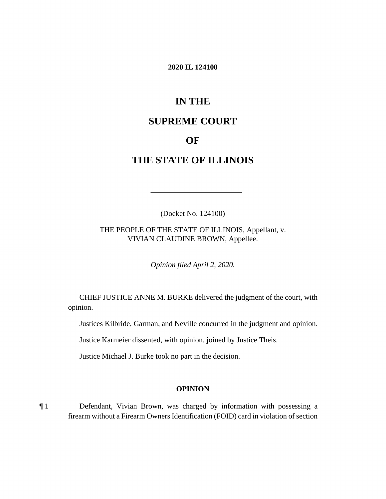#### **2020 IL 124100**

# **IN THE**

# **SUPREME COURT**

## **OF**

# **THE STATE OF ILLINOIS**

(Docket No. 124100)

 THE PEOPLE OF THE STATE OF ILLINOIS, Appellant, v. VIVIAN CLAUDINE BROWN, Appellee.

*Opinion filed April 2, 2020.* 

 CHIEF JUSTICE ANNE M. BURKE delivered the judgment of the court, with opinion.

Justices Kilbride, Garman, and Neville concurred in the judgment and opinion.

Justice Karmeier dissented, with opinion, joined by Justice Theis.

Justice Michael J. Burke took no part in the decision.

#### **OPINION**

¶ 1 Defendant, Vivian Brown, was charged by information with possessing a firearm without a Firearm Owners Identification (FOID) card in violation of section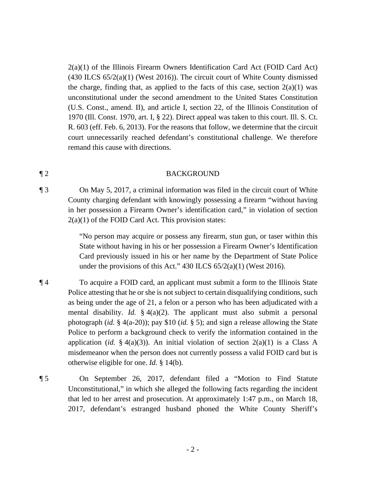2(a)(1) of the Illinois Firearm Owners Identification Card Act (FOID Card Act)  $(430$  ILCS  $65/2(a)(1)$  (West 2016)). The circuit court of White County dismissed the charge, finding that, as applied to the facts of this case, section  $2(a)(1)$  was unconstitutional under the second amendment to the United States Constitution (U.S. Const., amend. II), and article I, section 22, of the Illinois Constitution of 1970 (Ill. Const. 1970, art. I, § 22). Direct appeal was taken to this court. Ill. S. Ct. R. 603 (eff. Feb. 6, 2013). For the reasons that follow, we determine that the circuit court unnecessarily reached defendant's constitutional challenge. We therefore remand this cause with directions.

#### ¶ 2 BACKGROUND

¶ 3 On May 5, 2017, a criminal information was filed in the circuit court of White County charging defendant with knowingly possessing a firearm "without having in her possession a Firearm Owner's identification card," in violation of section  $2(a)(1)$  of the FOID Card Act. This provision states:

> "No person may acquire or possess any firearm, stun gun, or taser within this State without having in his or her possession a Firearm Owner's Identification Card previously issued in his or her name by the Department of State Police under the provisions of this Act." 430 ILCS 65/2(a)(1) (West 2016).

- ¶ 4 To acquire a FOID card, an applicant must submit a form to the Illinois State application (*id.* § 4(a)(3)). An initial violation of section  $2(a)(1)$  is a Class A misdemeanor when the person does not currently possess a valid FOID card but is Police attesting that he or she is not subject to certain disqualifying conditions, such as being under the age of 21, a felon or a person who has been adjudicated with a mental disability. *Id.* § 4(a)(2). The applicant must also submit a personal photograph (*id.* § 4(a-20)); pay \$10 (*id.* § 5); and sign a release allowing the State Police to perform a background check to verify the information contained in the otherwise eligible for one. *Id.* § 14(b).
- ¶ 5 On September 26, 2017, defendant filed a "Motion to Find Statute Unconstitutional," in which she alleged the following facts regarding the incident that led to her arrest and prosecution. At approximately 1:47 p.m., on March 18, 2017, defendant's estranged husband phoned the White County Sheriff's
	- 2 -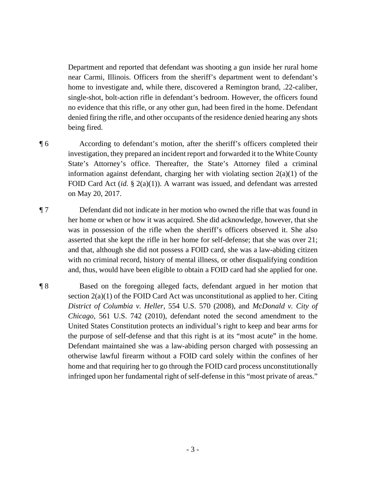Department and reported that defendant was shooting a gun inside her rural home near Carmi, Illinois. Officers from the sheriff's department went to defendant's home to investigate and, while there, discovered a Remington brand, .22-caliber, single-shot, bolt-action rifle in defendant's bedroom. However, the officers found no evidence that this rifle, or any other gun, had been fired in the home. Defendant denied firing the rifle, and other occupants of the residence denied hearing any shots being fired.

- investigation, they prepared an incident report and forwarded it to the White County FOID Card Act (*id.* § 2(a)(1)). A warrant was issued, and defendant was arrested ¶ 6 According to defendant's motion, after the sheriff's officers completed their State's Attorney's office. Thereafter, the State's Attorney filed a criminal information against defendant, charging her with violating section 2(a)(1) of the on May 20, 2017.
- ¶ 7 Defendant did not indicate in her motion who owned the rifle that was found in her home or when or how it was acquired. She did acknowledge, however, that she was in possession of the rifle when the sheriff's officers observed it. She also asserted that she kept the rifle in her home for self-defense; that she was over 21; and that, although she did not possess a FOID card, she was a law-abiding citizen with no criminal record, history of mental illness, or other disqualifying condition and, thus, would have been eligible to obtain a FOID card had she applied for one.
- *District of Columbia v. Heller*, 554 U.S. 570 (2008), and *McDonald v. City of*  United States Constitution protects an individual's right to keep and bear arms for the purpose of self-defense and that this right is at its "most acute" in the home. ¶ 8 Based on the foregoing alleged facts, defendant argued in her motion that section  $2(a)(1)$  of the FOID Card Act was unconstitutional as applied to her. Citing *Chicago*, 561 U.S. 742 (2010), defendant noted the second amendment to the Defendant maintained she was a law-abiding person charged with possessing an otherwise lawful firearm without a FOID card solely within the confines of her home and that requiring her to go through the FOID card process unconstitutionally infringed upon her fundamental right of self-defense in this "most private of areas."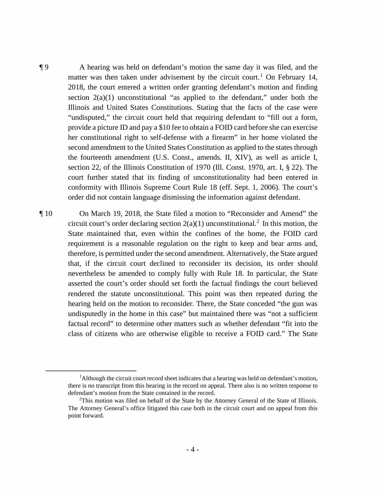Illinois and United States Constitutions. Stating that the facts of the case were conformity with Illinois Supreme Court Rule 18 (eff. Sept. 1, 2006). The court's ¶ 9 A hearing was held on defendant's motion the same day it was filed, and the matter was then taken under advisement by the circuit court.<sup>1</sup> On February 14, 2018, the court entered a written order granting defendant's motion and finding section  $2(a)(1)$  unconstitutional "as applied to the defendant," under both the "undisputed," the circuit court held that requiring defendant to "fill out a form, provide a picture ID and pay a \$10 fee to obtain a FOID card before she can exercise her constitutional right to self-defense with a firearm" in her home violated the second amendment to the United States Constitution as applied to the states through the fourteenth amendment (U.S. Const., amends. II, XIV), as well as article I, section 22, of the Illinois Constitution of 1970 (Ill. Const. 1970, art. I, § 22). The court further stated that its finding of unconstitutionality had been entered in order did not contain language dismissing the information against defendant.

¶ 10 On March 19, 2018, the State filed a motion to "Reconsider and Amend" the circuit court's order declaring section  $2(a)(1)$  unconstitutional.<sup>2</sup> In this motion, the State maintained that, even within the confines of the home, the FOID card requirement is a reasonable regulation on the right to keep and bear arms and, therefore, is permitted under the second amendment. Alternatively, the State argued that, if the circuit court declined to reconsider its decision, its order should nevertheless be amended to comply fully with Rule 18. In particular, the State asserted the court's order should set forth the factual findings the court believed rendered the statute unconstitutional. This point was then repeated during the hearing held on the motion to reconsider. There, the State conceded "the gun was undisputedly in the home in this case" but maintained there was "not a sufficient factual record" to determine other matters such as whether defendant "fit into the class of citizens who are otherwise eligible to receive a FOID card." The State

<sup>&</sup>lt;sup>1</sup>Although the circuit court record sheet indicates that a hearing was held on defendant's motion, there is no transcript from this hearing in the record on appeal. There also is no written response to defendant's motion from the State contained in the record.

 $2$ This motion was filed on behalf of the State by the Attorney General of the State of Illinois. The Attorney General's office litigated this case both in the circuit court and on appeal from this point forward.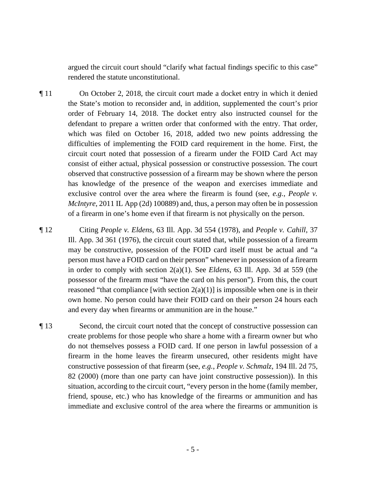argued the circuit court should "clarify what factual findings specific to this case" rendered the statute unconstitutional.

 order of February 14, 2018. The docket entry also instructed counsel for the circuit court noted that possession of a firearm under the FOID Card Act may ¶ 11 On October 2, 2018, the circuit court made a docket entry in which it denied the State's motion to reconsider and, in addition, supplemented the court's prior defendant to prepare a written order that conformed with the entry. That order, which was filed on October 16, 2018, added two new points addressing the difficulties of implementing the FOID card requirement in the home. First, the consist of either actual, physical possession or constructive possession. The court observed that constructive possession of a firearm may be shown where the person has knowledge of the presence of the weapon and exercises immediate and exclusive control over the area where the firearm is found (see, *e.g.*, *People v. McIntyre*, 2011 IL App (2d) 100889) and, thus, a person may often be in possession of a firearm in one's home even if that firearm is not physically on the person.

 may be constructive, possession of the FOID card itself must be actual and "a ¶ 12 Citing *People v. Eldens*, 63 Ill. App. 3d 554 (1978), and *People v. Cahill*, 37 Ill. App. 3d 361 (1976), the circuit court stated that, while possession of a firearm person must have a FOID card on their person" whenever in possession of a firearm in order to comply with section 2(a)(1). See *Eldens*, 63 Ill. App. 3d at 559 (the possessor of the firearm must "have the card on his person"). From this, the court reasoned "that compliance [with section  $2(a)(1)$ ] is impossible when one is in their own home. No person could have their FOID card on their person 24 hours each and every day when firearms or ammunition are in the house."

 82 (2000) (more than one party can have joint constructive possession)). In this ¶ 13 Second, the circuit court noted that the concept of constructive possession can create problems for those people who share a home with a firearm owner but who do not themselves possess a FOID card. If one person in lawful possession of a firearm in the home leaves the firearm unsecured, other residents might have constructive possession of that firearm (see, *e.g.*, *People v. Schmalz*, 194 Ill. 2d 75, situation, according to the circuit court, "every person in the home (family member, friend, spouse, etc.) who has knowledge of the firearms or ammunition and has immediate and exclusive control of the area where the firearms or ammunition is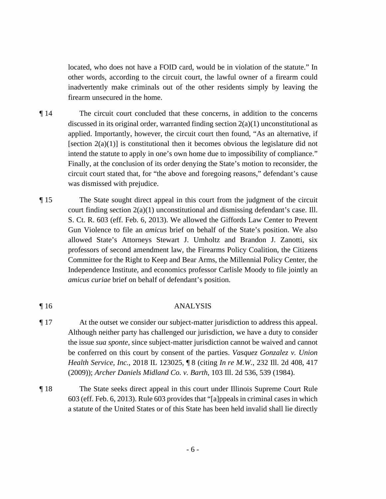located, who does not have a FOID card, would be in violation of the statute." In other words, according to the circuit court, the lawful owner of a firearm could inadvertently make criminals out of the other residents simply by leaving the firearm unsecured in the home.

- ¶ 14 The circuit court concluded that these concerns, in addition to the concerns discussed in its original order, warranted finding section  $2(a)(1)$  unconstitutional as applied. Importantly, however, the circuit court then found, "As an alternative, if [section  $2(a)(1)$ ] is constitutional then it becomes obvious the legislature did not intend the statute to apply in one's own home due to impossibility of compliance." Finally, at the conclusion of its order denying the State's motion to reconsider, the circuit court stated that, for "the above and foregoing reasons," defendant's cause was dismissed with prejudice.
- ¶ 15 The State sought direct appeal in this court from the judgment of the circuit court finding section 2(a)(1) unconstitutional and dismissing defendant's case. Ill. S. Ct. R. 603 (eff. Feb. 6, 2013). We allowed the Giffords Law Center to Prevent Gun Violence to file an *amicus* brief on behalf of the State's position. We also allowed State's Attorneys Stewart J. Umholtz and Brandon J. Zanotti, six professors of second amendment law, the Firearms Policy Coalition, the Citizens Committee for the Right to Keep and Bear Arms, the Millennial Policy Center, the Independence Institute, and economics professor Carlisle Moody to file jointly an *amicus curiae* brief on behalf of defendant's position.

## ¶ 16 ANALYSIS

- (2009)); Archer Daniels Midland Co. v. Barth, 103 Ill. 2d 536, 539 (1984). ¶ 17 At the outset we consider our subject-matter jurisdiction to address this appeal. Although neither party has challenged our jurisdiction, we have a duty to consider the issue *sua sponte*, since subject-matter jurisdiction cannot be waived and cannot be conferred on this court by consent of the parties. *Vasquez Gonzalez v. Union Health Service, Inc.*, 2018 IL 123025, ¶ 8 (citing *In re M.W.*, 232 Ill. 2d 408, 417
- a statute of the United States or of this State has been held invalid shall lie directly The State seeks direct appeal in this court under Illinois Supreme Court Rule 603 (eff. Feb. 6, 2013). Rule 603 provides that "[a]ppeals in criminal cases in which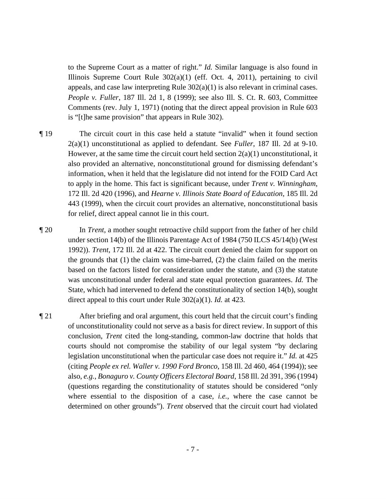to the Supreme Court as a matter of right." *Id.* Similar language is also found in Illinois Supreme Court Rule  $302(a)(1)$  (eff. Oct. 4, 2011), pertaining to civil appeals, and case law interpreting Rule  $302(a)(1)$  is also relevant in criminal cases. *People v. Fuller*, 187 Ill. 2d 1, 8 (1999); see also Ill. S. Ct. R. 603, Committee Comments (rev. July 1, 1971) (noting that the direct appeal provision in Rule 603 is "[t]he same provision" that appears in Rule 302).

- 2(a)(1) unconstitutional as applied to defendant. See *Fuller*, 187 Ill. 2d at 9-10. for relief, direct appeal cannot lie in this court. ¶ 19 The circuit court in this case held a statute "invalid" when it found section However, at the same time the circuit court held section  $2(a)(1)$  unconstitutional, it also provided an alternative, nonconstitutional ground for dismissing defendant's information, when it held that the legislature did not intend for the FOID Card Act to apply in the home. This fact is significant because, under *Trent v. Winningham*, 172 Ill. 2d 420 (1996), and *Hearne v. Illinois State Board of Education*, 185 Ill. 2d 443 (1999), when the circuit court provides an alternative, nonconstitutional basis
- based on the factors listed for consideration under the statute, and (3) the statute was unconstitutional under federal and state equal protection guarantees. *Id.* The ¶ 20 In *Trent*, a mother sought retroactive child support from the father of her child under section 14(b) of the Illinois Parentage Act of 1984 (750 ILCS 45/14(b) (West 1992)). *Trent*, 172 Ill. 2d at 422. The circuit court denied the claim for support on the grounds that (1) the claim was time-barred, (2) the claim failed on the merits State, which had intervened to defend the constitutionality of section 14(b), sought direct appeal to this court under Rule 302(a)(1). *Id.* at 423.
- legislation unconstitutional when the particular case does not require it." *Id.* at 425 ¶ 21 After briefing and oral argument, this court held that the circuit court's finding of unconstitutionality could not serve as a basis for direct review. In support of this conclusion, *Trent* cited the long-standing, common-law doctrine that holds that courts should not compromise the stability of our legal system "by declaring (citing *People ex rel. Waller v. 1990 Ford Bronco*, 158 Ill. 2d 460, 464 (1994)); see also, *e.g.*, *Bonaguro v. County Officers Electoral Board*, 158 Ill. 2d 391, 396 (1994) (questions regarding the constitutionality of statutes should be considered "only where essential to the disposition of a case, *i.e.*, where the case cannot be determined on other grounds"). *Trent* observed that the circuit court had violated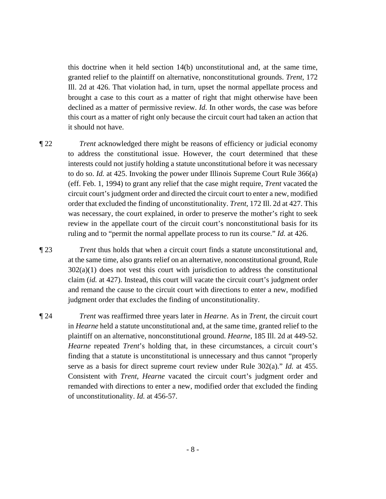this doctrine when it held section 14(b) unconstitutional and, at the same time, granted relief to the plaintiff on alternative, nonconstitutional grounds. *Trent*, 172 Ill. 2d at 426. That violation had, in turn, upset the normal appellate process and brought a case to this court as a matter of right that might otherwise have been declined as a matter of permissive review. *Id.* In other words, the case was before this court as a matter of right only because the circuit court had taken an action that it should not have.

 ruling and to "permit the normal appellate process to run its course." *Id.* at 426. ¶ 22 *Trent* acknowledged there might be reasons of efficiency or judicial economy to address the constitutional issue. However, the court determined that these interests could not justify holding a statute unconstitutional before it was necessary to do so. *Id.* at 425. Invoking the power under Illinois Supreme Court Rule 366(a) (eff. Feb. 1, 1994) to grant any relief that the case might require, *Trent* vacated the circuit court's judgment order and directed the circuit court to enter a new, modified order that excluded the finding of unconstitutionality. *Trent*, 172 Ill. 2d at 427. This was necessary, the court explained, in order to preserve the mother's right to seek review in the appellate court of the circuit court's nonconstitutional basis for its

¶ 23 *Trent* thus holds that when a circuit court finds a statute unconstitutional and, at the same time, also grants relief on an alternative, nonconstitutional ground, Rule  $302(a)(1)$  does not vest this court with jurisdiction to address the constitutional claim (*id.* at 427). Instead, this court will vacate the circuit court's judgment order and remand the cause to the circuit court with directions to enter a new, modified judgment order that excludes the finding of unconstitutionality.

¶ 24 *Trent* was reaffirmed three years later in *Hearne*. As in *Trent*, the circuit court in *Hearne* held a statute unconstitutional and, at the same time, granted relief to the plaintiff on an alternative, nonconstitutional ground. *Hearne*, 185 Ill. 2d at 449-52. *Hearne* repeated *Trent*'s holding that, in these circumstances, a circuit court's finding that a statute is unconstitutional is unnecessary and thus cannot "properly serve as a basis for direct supreme court review under Rule 302(a)." *Id.* at 455. Consistent with *Trent*, *Hearne* vacated the circuit court's judgment order and remanded with directions to enter a new, modified order that excluded the finding of unconstitutionality. *Id.* at 456-57.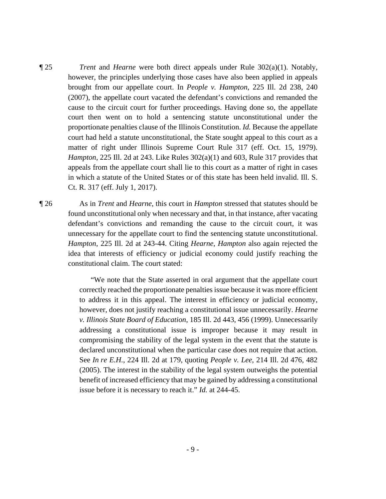- court had held a statute unconstitutional, the State sought appeal to this court as a appeals from the appellate court shall lie to this court as a matter of right in cases ¶ 25 *Trent* and *Hearne* were both direct appeals under Rule 302(a)(1). Notably, however, the principles underlying those cases have also been applied in appeals brought from our appellate court. In *People v. Hampton*, 225 Ill. 2d 238, 240 (2007), the appellate court vacated the defendant's convictions and remanded the cause to the circuit court for further proceedings. Having done so, the appellate court then went on to hold a sentencing statute unconstitutional under the proportionate penalties clause of the Illinois Constitution. *Id.* Because the appellate matter of right under Illinois Supreme Court Rule 317 (eff. Oct. 15, 1979). *Hampton*, 225 Ill. 2d at 243. Like Rules 302(a)(1) and 603, Rule 317 provides that in which a statute of the United States or of this state has been held invalid. Ill. S. Ct. R. 317 (eff. July 1, 2017).
- ¶ 26 As in *Trent* and *Hearne*, this court in *Hampton* stressed that statutes should be found unconstitutional only when necessary and that, in that instance, after vacating defendant's convictions and remanding the cause to the circuit court, it was unnecessary for the appellate court to find the sentencing statute unconstitutional. *Hampton*, 225 Ill. 2d at 243-44. Citing *Hearne*, *Hampton* also again rejected the idea that interests of efficiency or judicial economy could justify reaching the constitutional claim. The court stated:

"We note that the State asserted in oral argument that the appellate court correctly reached the proportionate penalties issue because it was more efficient to address it in this appeal. The interest in efficiency or judicial economy, however, does not justify reaching a constitutional issue unnecessarily. *Hearne v. Illinois State Board of Education*, 185 Ill. 2d 443, 456 (1999). Unnecessarily addressing a constitutional issue is improper because it may result in compromising the stability of the legal system in the event that the statute is declared unconstitutional when the particular case does not require that action. See *In re E.H.*, 224 Ill. 2d at 179, quoting *People v. Lee*, 214 Ill. 2d 476, 482 (2005). The interest in the stability of the legal system outweighs the potential benefit of increased efficiency that may be gained by addressing a constitutional issue before it is necessary to reach it." *Id.* at 244-45.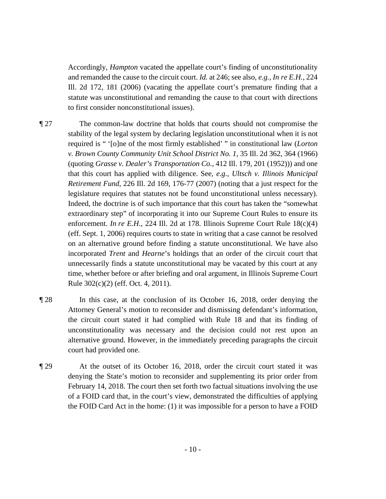Accordingly, *Hampton* vacated the appellate court's finding of unconstitutionality and remanded the cause to the circuit court. *Id.* at 246; see also, *e.g.*, *In re E.H.*, 224 Ill. 2d 172, 181 (2006) (vacating the appellate court's premature finding that a statute was unconstitutional and remanding the cause to that court with directions to first consider nonconstitutional issues).

- ¶ 27 The common-law doctrine that holds that courts should not compromise the  *v. Brown County Community Unit School District No. 1*, 35 Ill. 2d 362, 364 (1966) stability of the legal system by declaring legislation unconstitutional when it is not required is " '[o]ne of the most firmly established' " in constitutional law (*Lorton*  (quoting *Grasse v. Dealer's Transportation Co.*, 412 Ill. 179, 201 (1952))) and one that this court has applied with diligence. See, *e.g.*, *Ultsch v. Illinois Municipal Retirement Fund*, 226 Ill. 2d 169, 176-77 (2007) (noting that a just respect for the legislature requires that statutes not be found unconstitutional unless necessary). Indeed, the doctrine is of such importance that this court has taken the "somewhat extraordinary step" of incorporating it into our Supreme Court Rules to ensure its enforcement. *In re E.H.*, 224 Ill. 2d at 178. Illinois Supreme Court Rule 18(c)(4) (eff. Sept. 1, 2006) requires courts to state in writing that a case cannot be resolved on an alternative ground before finding a statute unconstitutional. We have also incorporated *Trent* and *Hearne*'s holdings that an order of the circuit court that unnecessarily finds a statute unconstitutional may be vacated by this court at any time, whether before or after briefing and oral argument, in Illinois Supreme Court Rule 302(c)(2) (eff. Oct. 4, 2011).
- ¶ 28 In this case, at the conclusion of its October 16, 2018, order denying the Attorney General's motion to reconsider and dismissing defendant's information, the circuit court stated it had complied with Rule 18 and that its finding of unconstitutionality was necessary and the decision could not rest upon an alternative ground. However, in the immediately preceding paragraphs the circuit court had provided one.
- ¶ 29 At the outset of its October 16, 2018, order the circuit court stated it was denying the State's motion to reconsider and supplementing its prior order from February 14, 2018. The court then set forth two factual situations involving the use of a FOID card that, in the court's view, demonstrated the difficulties of applying the FOID Card Act in the home: (1) it was impossible for a person to have a FOID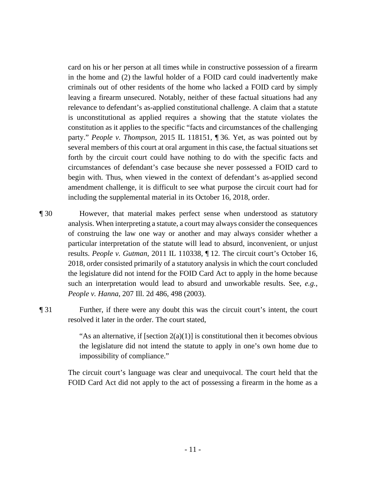card on his or her person at all times while in constructive possession of a firearm in the home and (2) the lawful holder of a FOID card could inadvertently make circumstances of defendant's case because she never possessed a FOID card to criminals out of other residents of the home who lacked a FOID card by simply leaving a firearm unsecured. Notably, neither of these factual situations had any relevance to defendant's as-applied constitutional challenge. A claim that a statute is unconstitutional as applied requires a showing that the statute violates the constitution as it applies to the specific "facts and circumstances of the challenging party." *People v. Thompson*, 2015 IL 118151, ¶ 36. Yet, as was pointed out by several members of this court at oral argument in this case, the factual situations set forth by the circuit court could have nothing to do with the specific facts and begin with. Thus, when viewed in the context of defendant's as-applied second amendment challenge, it is difficult to see what purpose the circuit court had for including the supplemental material in its October 16, 2018, order.

- ¶ 30 However, that material makes perfect sense when understood as statutory analysis. When interpreting a statute, a court may always consider the consequences of construing the law one way or another and may always consider whether a particular interpretation of the statute will lead to absurd, inconvenient, or unjust results. *People v. Gutman*, 2011 IL 110338, ¶ 12. The circuit court's October 16, 2018, order consisted primarily of a statutory analysis in which the court concluded the legislature did not intend for the FOID Card Act to apply in the home because such an interpretation would lead to absurd and unworkable results. See, *e.g.*, *People v. Hanna*, 207 Ill. 2d 486, 498 (2003).
- ¶ 31 Further, if there were any doubt this was the circuit court's intent, the court resolved it later in the order. The court stated,

impossibility of compliance." "As an alternative, if [section  $2(a)(1)$ ] is constitutional then it becomes obvious the legislature did not intend the statute to apply in one's own home due to

 FOID Card Act did not apply to the act of possessing a firearm in the home as a The circuit court's language was clear and unequivocal. The court held that the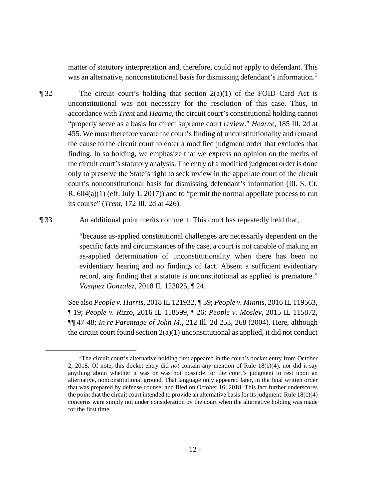was an alternative, nonconstitutional basis for dismissing defendant's information.<sup>3</sup> matter of statutory interpretation and, therefore, could not apply to defendant. This

- the circuit court's statutory analysis. The entry of a modified judgment order is done  $\P$  32 The circuit court's holding that section 2(a)(1) of the FOID Card Act is unconstitutional was not necessary for the resolution of this case. Thus, in accordance with *Trent* and *Hearne*, the circuit court's constitutional holding cannot "properly serve as a basis for direct supreme court review." *Hearne*, 185 Ill. 2d at 455. We must therefore vacate the court's finding of unconstitutionality and remand the cause to the circuit court to enter a modified judgment order that excludes that finding. In so holding, we emphasize that we express no opinion on the merits of only to preserve the State's right to seek review in the appellate court of the circuit court's nonconstitutional basis for dismissing defendant's information (Ill. S. Ct. R. 604(a)(1) (eff. July 1, 2017)) and to "permit the normal appellate process to run its course" (*Trent*, 172 Ill. 2d at 426).
- ¶ 33 An additional point merits comment. This court has repeatedly held that,

"because as-applied constitutional challenges are necessarily dependent on the specific facts and circumstances of the case, a court is not capable of making an as-applied determination of unconstitutionality when there has been no evidentiary hearing and no findings of fact. Absent a sufficient evidentiary record, any finding that a statute is unconstitutional as applied is premature." *Vasquez Gonzalez*, 2018 IL 123025, ¶ 24.

See also *People v. Harris*, 2018 IL 121932, ¶ 39; *People v. Minnis*, 2016 IL 119563, ¶ 19; *People v. Rizzo*, 2016 IL 118599, ¶ 26; *People v. Mosley*, 2015 IL 115872, ¶¶ 47-48; *In re Parentage of John M.*, 212 Ill. 2d 253, 268 (2004). Here, although the circuit court found section  $2(a)(1)$  unconstitutional as applied, it did not conduct

 2, 2018. Of note, this docket entry did *not* contain any mention of Rule 18(c)(4), nor did it say anything about whether it was or was not possible for the court's judgment to rest upon an the point that the circuit court intended to provide an alternative basis for its judgment. Rule  $18(c)(4)$ <sup>3</sup>The circuit court's alternative holding first appeared in the court's docket entry from October alternative, nonconstitutional ground. That language only appeared later, in the final written order that was prepared by defense counsel and filed on October 16, 2018. This fact further underscores concerns were simply not under consideration by the court when the alternative holding was made for the first time.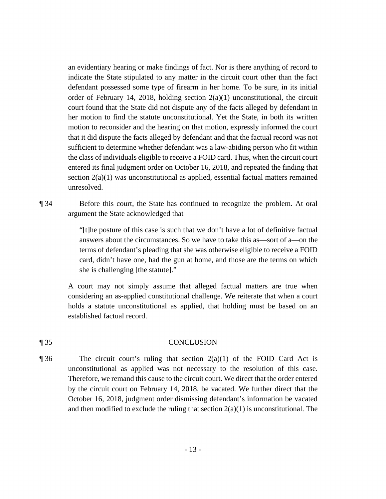an evidentiary hearing or make findings of fact. Nor is there anything of record to indicate the State stipulated to any matter in the circuit court other than the fact her motion to find the statute unconstitutional. Yet the State, in both its written defendant possessed some type of firearm in her home. To be sure, in its initial order of February 14, 2018, holding section  $2(a)(1)$  unconstitutional, the circuit court found that the State did not dispute any of the facts alleged by defendant in motion to reconsider and the hearing on that motion, expressly informed the court that it did dispute the facts alleged by defendant and that the factual record was not sufficient to determine whether defendant was a law-abiding person who fit within the class of individuals eligible to receive a FOID card. Thus, when the circuit court entered its final judgment order on October 16, 2018, and repeated the finding that section  $2(a)(1)$  was unconstitutional as applied, essential factual matters remained unresolved.

 ¶ 34 Before this court, the State has continued to recognize the problem. At oral argument the State acknowledged that

> she is challenging [the statute]." "[t]he posture of this case is such that we don't have a lot of definitive factual answers about the circumstances. So we have to take this as—sort of a—on the terms of defendant's pleading that she was otherwise eligible to receive a FOID card, didn't have one, had the gun at home, and those are the terms on which

A court may not simply assume that alleged factual matters are true when considering an as-applied constitutional challenge. We reiterate that when a court holds a statute unconstitutional as applied, that holding must be based on an established factual record.

#### ¶ 35 CONCLUSION

 Therefore, we remand this cause to the circuit court. We direct that the order entered October 16, 2018, judgment order dismissing defendant's information be vacated  $\P$ 36 The circuit court's ruling that section  $2(a)(1)$  of the FOID Card Act is unconstitutional as applied was not necessary to the resolution of this case. by the circuit court on February 14, 2018, be vacated. We further direct that the and then modified to exclude the ruling that section  $2(a)(1)$  is unconstitutional. The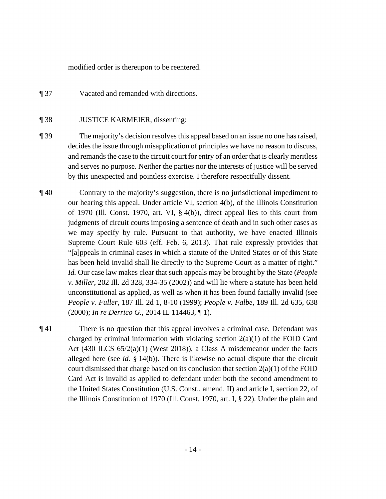modified order is thereupon to be reentered.

¶ 37 Vacated and remanded with directions.

### ¶ 38 JUSTICE KARMEIER, dissenting:

- and serves no purpose. Neither the parties nor the interests of justice will be served ¶ 39 The majority's decision resolves this appeal based on an issue no one has raised, decides the issue through misapplication of principles we have no reason to discuss, and remands the case to the circuit court for entry of an order that is clearly meritless by this unexpected and pointless exercise. I therefore respectfully dissent.
- *Id.* Our case law makes clear that such appeals may be brought by the State (*People v. Miller*, 202 Ill. 2d 328, 334-35 (2002)) and will lie where a statute has been held (2000); *In re Derrico G.*, 2014 IL 114463, ¶ 1). ¶ 40 Contrary to the majority's suggestion, there is no jurisdictional impediment to our hearing this appeal. Under article VI, section 4(b), of the Illinois Constitution of 1970 (Ill. Const. 1970, art. VI, § 4(b)), direct appeal lies to this court from judgments of circuit courts imposing a sentence of death and in such other cases as we may specify by rule. Pursuant to that authority, we have enacted Illinois Supreme Court Rule 603 (eff. Feb. 6, 2013). That rule expressly provides that "[a]ppeals in criminal cases in which a statute of the United States or of this State has been held invalid shall lie directly to the Supreme Court as a matter of right." unconstitutional as applied, as well as when it has been found facially invalid (see *People v. Fuller*, 187 Ill. 2d 1, 8-10 (1999); *People v. Falbe*, 189 Ill. 2d 635, 638
- ¶ 41 There is no question that this appeal involves a criminal case. Defendant was charged by criminal information with violating section  $2(a)(1)$  of the FOID Card Act (430 ILCS  $65/2(a)(1)$  (West 2018)), a Class A misdemeanor under the facts alleged here (see *id.* § 14(b)). There is likewise no actual dispute that the circuit court dismissed that charge based on its conclusion that section  $2(a)(1)$  of the FOID Card Act is invalid as applied to defendant under both the second amendment to the United States Constitution (U.S. Const., amend. II) and article I, section 22, of the Illinois Constitution of 1970 (Ill. Const. 1970, art. I, § 22). Under the plain and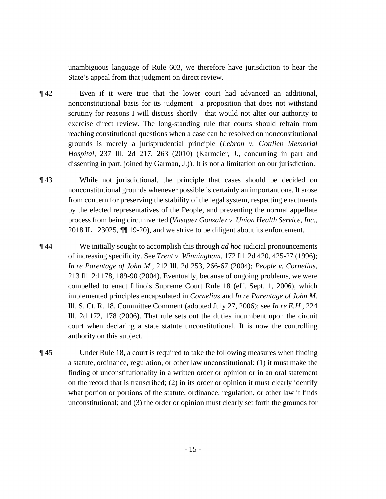unambiguous language of Rule 603, we therefore have jurisdiction to hear the State's appeal from that judgment on direct review.

- ¶ 42 Even if it were true that the lower court had advanced an additional, nonconstitutional basis for its judgment—a proposition that does not withstand scrutiny for reasons I will discuss shortly—that would not alter our authority to exercise direct review. The long-standing rule that courts should refrain from reaching constitutional questions when a case can be resolved on nonconstitutional grounds is merely a jurisprudential principle (*Lebron v. Gottlieb Memorial Hospital*, 237 Ill. 2d 217, 263 (2010) (Karmeier, J., concurring in part and dissenting in part, joined by Garman, J.)). It is not a limitation on our jurisdiction.
- ¶ 43 While not jurisdictional, the principle that cases should be decided on nonconstitutional grounds whenever possible is certainly an important one. It arose from concern for preserving the stability of the legal system, respecting enactments by the elected representatives of the People, and preventing the normal appellate process from being circumvented (*Vasquez Gonzalez v. Union Health Service, Inc.*, 2018 IL 123025, ¶¶ 19-20), and we strive to be diligent about its enforcement.
- implemented principles encapsulated in *Cornelius* and *In re Parentage of John M.*  ¶ 44 We initially sought to accomplish this through *ad hoc* judicial pronouncements of increasing specificity. See *Trent v. Winningham*, 172 Ill. 2d 420, 425-27 (1996); *In re Parentage of John M.*, 212 Ill. 2d 253, 266-67 (2004); *People v. Cornelius*, 213 Ill. 2d 178, 189-90 (2004). Eventually, because of ongoing problems, we were compelled to enact Illinois Supreme Court Rule 18 (eff. Sept. 1, 2006), which Ill. S. Ct. R. 18, Committee Comment (adopted July 27, 2006); see *In re E.H.*, 224 Ill. 2d 172, 178 (2006). That rule sets out the duties incumbent upon the circuit court when declaring a state statute unconstitutional. It is now the controlling authority on this subject.
- a statute, ordinance, regulation, or other law unconstitutional: (1) it must make the what portion or portions of the statute, ordinance, regulation, or other law it finds ¶ 45 Under Rule 18, a court is required to take the following measures when finding finding of unconstitutionality in a written order or opinion or in an oral statement on the record that is transcribed; (2) in its order or opinion it must clearly identify unconstitutional; and (3) the order or opinion must clearly set forth the grounds for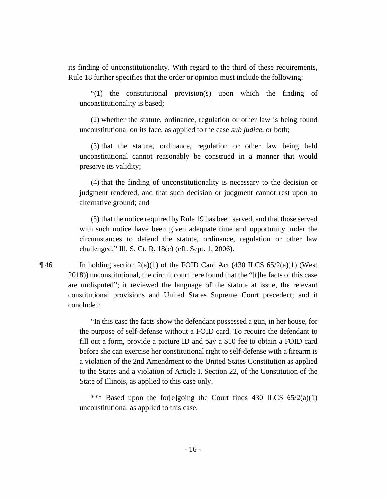its finding of unconstitutionality. With regard to the third of these requirements, Rule 18 further specifies that the order or opinion must include the following:

"(1) the constitutional provision(s) upon which the finding of unconstitutionality is based;

 unconstitutional on its face, as applied to the case *sub judice*, or both; (2) whether the statute, ordinance, regulation or other law is being found

(3) that the statute, ordinance, regulation or other law being held unconstitutional cannot reasonably be construed in a manner that would preserve its validity;

 alternative ground; and (4) that the finding of unconstitutionality is necessary to the decision or judgment rendered, and that such decision or judgment cannot rest upon an

 with such notice have been given adequate time and opportunity under the circumstances to defend the statute, ordinance, regulation or other law (5) that the notice required by Rule 19 has been served, and that those served challenged." Ill. S. Ct. R. 18(c) (eff. Sept. 1, 2006).

 are undisputed"; it reviewed the language of the statute at issue, the relevant  $\P$ 46 In holding section 2(a)(1) of the FOID Card Act (430 ILCS 65/2(a)(1) (West 2018)) unconstitutional, the circuit court here found that the "[t]he facts of this case constitutional provisions and United States Supreme Court precedent; and it concluded:

> fill out a form, provide a picture ID and pay a \$10 fee to obtain a FOID card before she can exercise her constitutional right to self-defense with a firearm is to the States and a violation of Article I, Section 22, of the Constitution of the "In this case the facts show the defendant possessed a gun, in her house, for the purpose of self-defense without a FOID card. To require the defendant to a violation of the 2nd Amendment to the United States Constitution as applied State of Illinois, as applied to this case only.

> \*\*\* Based upon the for[e]going the Court finds 430 ILCS  $65/2(a)(1)$ unconstitutional as applied to this case.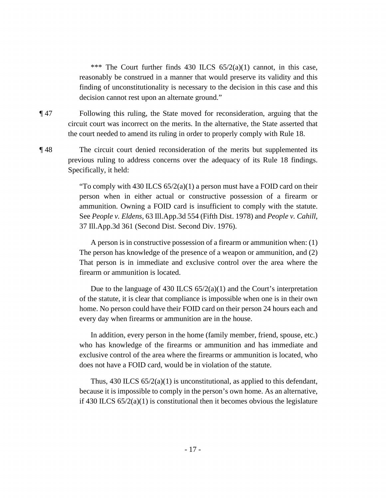\*\*\* The Court further finds 430 ILCS  $65/2(a)(1)$  cannot, in this case, reasonably be construed in a manner that would preserve its validity and this finding of unconstitutionality is necessary to the decision in this case and this decision cannot rest upon an alternate ground."

¶ 47 Following this ruling, the State moved for reconsideration, arguing that the circuit court was incorrect on the merits. In the alternative, the State asserted that the court needed to amend its ruling in order to properly comply with Rule 18.

¶ 48 The circuit court denied reconsideration of the merits but supplemented its previous ruling to address concerns over the adequacy of its Rule 18 findings. Specifically, it held:

> person when in either actual or constructive possession of a firearm or "To comply with 430 ILCS  $65/2(a)(1)$  a person must have a FOID card on their ammunition. Owning a FOID card is insufficient to comply with the statute. See *People v. Eldens*, 63 [Ill.App.3d](https://Ill.App.3d) 554 (Fifth Dist. 1978) and *People v. Cahill*, 37 [Ill.App.3d](https://Ill.App.3d) 361 (Second Dist. Second Div. 1976).

> A person is in constructive possession of a firearm or ammunition when: (1) The person has knowledge of the presence of a weapon or ammunition, and (2) That person is in immediate and exclusive control over the area where the firearm or ammunition is located.

> home. No person could have their FOID card on their person 24 hours each and every day when firearms or ammunition are in the house. Due to the language of 430 ILCS  $65/2(a)(1)$  and the Court's interpretation of the statute, it is clear that compliance is impossible when one is in their own

> In addition, every person in the home (family member, friend, spouse, etc.) who has knowledge of the firearms or ammunition and has immediate and exclusive control of the area where the firearms or ammunition is located, who does not have a FOID card, would be in violation of the statute.

> Thus,  $430$  ILCS  $65/2(a)(1)$  is unconstitutional, as applied to this defendant, because it is impossible to comply in the person's own home. As an alternative, if 430 ILCS 65/2(a)(1) is constitutional then it becomes obvious the legislature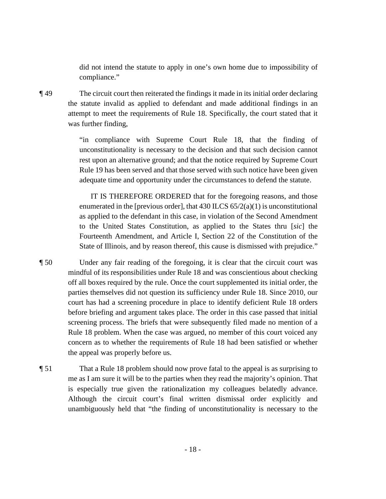did not intend the statute to apply in one's own home due to impossibility of compliance."

¶ 49 The circuit court then reiterated the findings it made in its initial order declaring the statute invalid as applied to defendant and made additional findings in an attempt to meet the requirements of Rule 18. Specifically, the court stated that it was further finding,

> "in compliance with Supreme Court Rule 18, that the finding of unconstitutionality is necessary to the decision and that such decision cannot rest upon an alternative ground; and that the notice required by Supreme Court Rule 19 has been served and that those served with such notice have been given adequate time and opportunity under the circumstances to defend the statute.

> enumerated in the [previous order], that 430 ILCS 65/2(a)(1) is unconstitutional Fourteenth Amendment, and Article I, Section 22 of the Constitution of the IT IS THEREFORE ORDERED that for the foregoing reasons, and those as applied to the defendant in this case, in violation of the Second Amendment to the United States Constitution, as applied to the States thru [*sic*] the

- screening process. The briefs that were subsequently filed made no mention of a State of Illinois, and by reason thereof, this cause is dismissed with prejudice."<br> **T** 50 Under any fair reading of the foregoing, it is clear that the circuit court was mindful of its responsibilities under Rule 18 and was conscientious about checking off all boxes required by the rule. Once the court supplemented its initial order, the parties themselves did not question its sufficiency under Rule 18. Since 2010, our court has had a screening procedure in place to identify deficient Rule 18 orders before briefing and argument takes place. The order in this case passed that initial Rule 18 problem. When the case was argued, no member of this court voiced any concern as to whether the requirements of Rule 18 had been satisfied or whether the appeal was properly before us.
- ¶ 51 That a Rule 18 problem should now prove fatal to the appeal is as surprising to me as I am sure it will be to the parties when they read the majority's opinion. That is especially true given the rationalization my colleagues belatedly advance. Although the circuit court's final written dismissal order explicitly and unambiguously held that "the finding of unconstitutionality is necessary to the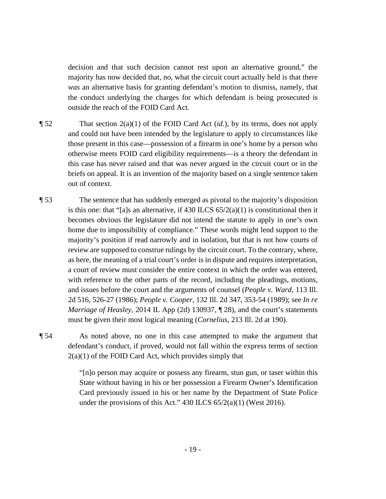decision and that such decision cannot rest upon an alternative ground," the majority has now decided that, no, what the circuit court actually held is that there *was* an alternative basis for granting defendant's motion to dismiss, namely, that the conduct underlying the charges for which defendant is being prosecuted is outside the reach of the FOID Card Act.

- ¶ 52 That section 2(a)(1) of the FOID Card Act (*id.*), by its terms, does not apply and could not have been intended by the legislature to apply to circumstances like those present in this case—possession of a firearm in one's home by a person who otherwise meets FOID card eligibility requirements—is a theory the defendant in this case has never raised and that was never argued in the circuit court or in the briefs on appeal. It is an invention of the majority based on a single sentence taken out of context.
- ¶ 53 The sentence that has suddenly emerged as pivotal to the majority's disposition is this one: that "[a]s an alternative, if 430 ILCS  $65/2(a)(1)$  is constitutional then it becomes obvious the legislature did not intend the statute to apply in one's own home due to impossibility of compliance." These words might lend support to the majority's position if read narrowly and in isolation, but that is not how courts of review are supposed to construe rulings by the circuit court. To the contrary, where, as here, the meaning of a trial court's order is in dispute and requires interpretation, a court of review must consider the entire context in which the order was entered, with reference to the other parts of the record, including the pleadings, motions, and issues before the court and the arguments of counsel (*People v. Ward*, 113 Ill. 2d 516, 526-27 (1986); *People v. Cooper*, 132 Ill. 2d 347, 353-54 (1989); see *In re Marriage of Heasley*, 2014 IL App (2d) 130937, ¶ 28), and the court's statements must be given their most logical meaning (*Cornelius*, 213 Ill. 2d at 190).

 defendant's conduct, if proved, would not fall within the express terms of section  $2(a)(1)$  of the FOID Card Act, which provides simply that ¶ 54 As noted above, no one in this case attempted to make the argument that

> "[n]o person may acquire or possess any firearm, stun gun, or taser within this State without having in his or her possession a Firearm Owner's Identification Card previously issued in his or her name by the Department of State Police under the provisions of this Act."  $430$  ILCS  $65/2(a)(1)$  (West 2016).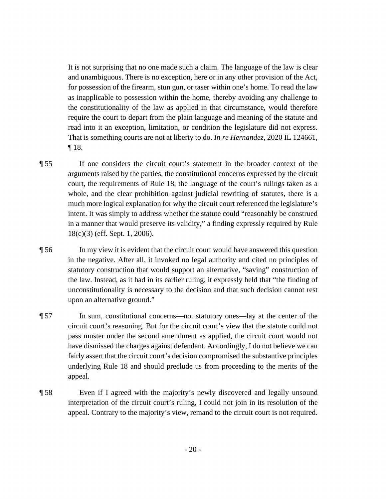It is not surprising that no one made such a claim. The language of the law is clear for possession of the firearm, stun gun, or taser within one's home. To read the law and unambiguous. There is no exception, here or in any other provision of the Act, as inapplicable to possession within the home, thereby avoiding any challenge to the constitutionality of the law as applied in that circumstance, would therefore require the court to depart from the plain language and meaning of the statute and read into it an exception, limitation, or condition the legislature did not express. That is something courts are not at liberty to do. *In re Hernandez*, 2020 IL 124661, ¶ 18.

 ¶ 55 If one considers the circuit court's statement in the broader context of the court, the requirements of Rule 18, the language of the court's rulings taken as a arguments raised by the parties, the constitutional concerns expressed by the circuit whole, and the clear prohibition against judicial rewriting of statutes, there is a much more logical explanation for why the circuit court referenced the legislature's intent. It was simply to address whether the statute could "reasonably be construed in a manner that would preserve its validity," a finding expressly required by Rule 18(c)(3) (eff. Sept. 1, 2006).

upon an alternative ground." ¶ 56 In my view it is evident that the circuit court would have answered this question in the negative. After all, it invoked no legal authority and cited no principles of statutory construction that would support an alternative, "saving" construction of the law. Instead, as it had in its earlier ruling, it expressly held that "the finding of unconstitutionality is necessary to the decision and that such decision cannot rest

- **The sum, constitutional concerns—not statutory ones—lay at the center of the** circuit court's reasoning. But for the circuit court's view that the statute could not pass muster under the second amendment as applied, the circuit court would not have dismissed the charges against defendant. Accordingly, I do not believe we can fairly assert that the circuit court's decision compromised the substantive principles underlying Rule 18 and should preclude us from proceeding to the merits of the appeal.
- ¶ 58 Even if I agreed with the majority's newly discovered and legally unsound interpretation of the circuit court's ruling, I could not join in its resolution of the appeal. Contrary to the majority's view, remand to the circuit court is not required.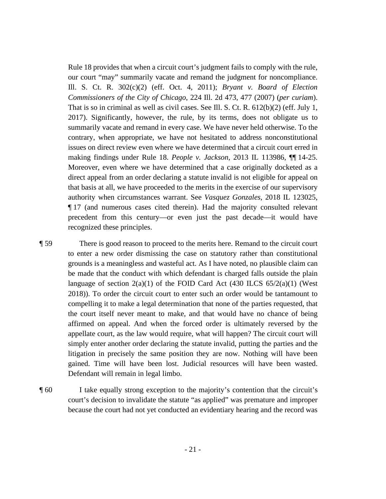Ill. S. Ct. R. 302(c)(2) (eff. Oct. 4, 2011); *Bryant v. Board of Election*  Moreover, even where we have determined that a case originally docketed as a direct appeal from an order declaring a statute invalid is not eligible for appeal on Rule 18 provides that when a circuit court's judgment fails to comply with the rule, our court "may" summarily vacate and remand the judgment for noncompliance. *Commissioners of the City of Chicago*, 224 Ill. 2d 473, 477 (2007) (*per curiam*). That is so in criminal as well as civil cases. See Ill. S. Ct. R. 612(b)(2) (eff. July 1, 2017). Significantly, however, the rule, by its terms, does not obligate us to summarily vacate and remand in every case. We have never held otherwise. To the contrary, when appropriate, we have not hesitated to address nonconstitutional issues on direct review even where we have determined that a circuit court erred in making findings under Rule 18. *People v. Jackson*, 2013 IL 113986, ¶¶ 14-25. that basis at all, we have proceeded to the merits in the exercise of our supervisory authority when circumstances warrant. See *Vasquez Gonzales*, 2018 IL 123025, ¶ 17 (and numerous cases cited therein). Had the majority consulted relevant precedent from this century—or even just the past decade—it would have recognized these principles.

 ¶ 59 There is good reason to proceed to the merits here. Remand to the circuit court to enter a new order dismissing the case on statutory rather than constitutional grounds is a meaningless and wasteful act. As I have noted, no plausible claim can be made that the conduct with which defendant is charged falls outside the plain language of section  $2(a)(1)$  of the FOID Card Act (430 ILCS  $65/2(a)(1)$  (West 2018)). To order the circuit court to enter such an order would be tantamount to compelling it to make a legal determination that none of the parties requested, that the court itself never meant to make, and that would have no chance of being affirmed on appeal. And when the forced order is ultimately reversed by the appellate court, as the law would require, what will happen? The circuit court will simply enter another order declaring the statute invalid, putting the parties and the litigation in precisely the same position they are now. Nothing will have been gained. Time will have been lost. Judicial resources will have been wasted. Defendant will remain in legal limbo.

 because the court had not yet conducted an evidentiary hearing and the record was ¶ 60 I take equally strong exception to the majority's contention that the circuit's court's decision to invalidate the statute "as applied" was premature and improper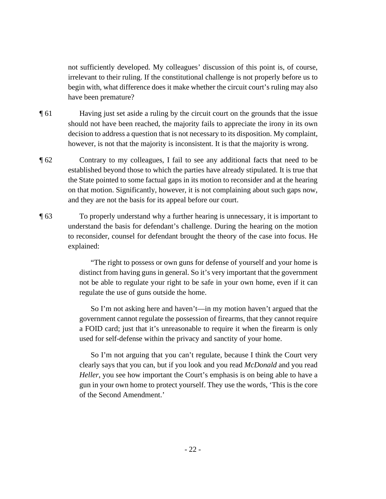not sufficiently developed. My colleagues' discussion of this point is, of course, irrelevant to their ruling. If the constitutional challenge is not properly before us to begin with, what difference does it make whether the circuit court's ruling may also have been premature?

- ¶ 61 Having just set aside a ruling by the circuit court on the grounds that the issue should not have been reached, the majority fails to appreciate the irony in its own decision to address a question that is not necessary to its disposition. My complaint, however, is not that the majority is inconsistent. It is that the majority is wrong.
- the State pointed to some factual gaps in its motion to reconsider and at the hearing and they are not the basis for its appeal before our court. ¶ 62 Contrary to my colleagues, I fail to see any additional facts that need to be established beyond those to which the parties have already stipulated. It is true that on that motion. Significantly, however, it is not complaining about such gaps now,
- ¶ 63 To properly understand why a further hearing is unnecessary, it is important to understand the basis for defendant's challenge. During the hearing on the motion to reconsider, counsel for defendant brought the theory of the case into focus. He explained:

"The right to possess or own guns for defense of yourself and your home is distinct from having guns in general. So it's very important that the government not be able to regulate your right to be safe in your own home, even if it can regulate the use of guns outside the home.

So I'm not asking here and haven't—in my motion haven't argued that the government cannot regulate the possession of firearms, that they cannot require a FOID card; just that it's unreasonable to require it when the firearm is only used for self-defense within the privacy and sanctity of your home.

So I'm not arguing that you can't regulate, because I think the Court very clearly says that you can, but if you look and you read *McDonald* and you read *Heller*, you see how important the Court's emphasis is on being able to have a gun in your own home to protect yourself. They use the words, 'This is the core of the Second Amendment.'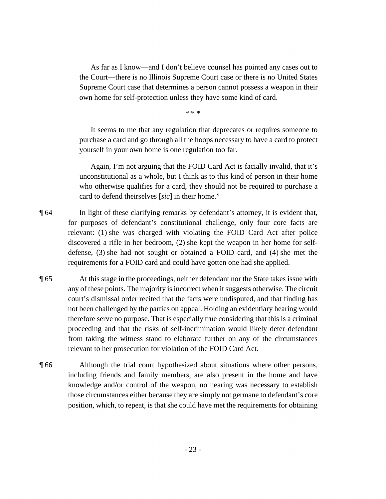As far as I know—and I don't believe counsel has pointed any cases out to the Court—there is no Illinois Supreme Court case or there is no United States Supreme Court case that determines a person cannot possess a weapon in their own home for self-protection unless they have some kind of card.

\* \* \*

It seems to me that any regulation that deprecates or requires someone to purchase a card and go through all the hoops necessary to have a card to protect yourself in your own home is one regulation too far.

Again, I'm not arguing that the FOID Card Act is facially invalid, that it's unconstitutional as a whole, but I think as to this kind of person in their home who otherwise qualifies for a card, they should not be required to purchase a card to defend theirselves [*sic*] in their home."

 discovered a rifle in her bedroom, (2) she kept the weapon in her home for self- requirements for a FOID card and could have gotten one had she applied. ¶ 64 In light of these clarifying remarks by defendant's attorney, it is evident that, for purposes of defendant's constitutional challenge, only four core facts are relevant: (1) she was charged with violating the FOID Card Act after police defense, (3) she had not sought or obtained a FOID card, and (4) she met the

- therefore serve no purpose. That is especially true considering that this is a criminal ¶ 65 At this stage in the proceedings, neither defendant nor the State takes issue with any of these points. The majority is incorrect when it suggests otherwise. The circuit court's dismissal order recited that the facts were undisputed, and that finding has not been challenged by the parties on appeal. Holding an evidentiary hearing would proceeding and that the risks of self-incrimination would likely deter defendant from taking the witness stand to elaborate further on any of the circumstances relevant to her prosecution for violation of the FOID Card Act.
- ¶ 66 Although the trial court hypothesized about situations where other persons, including friends and family members, are also present in the home and have knowledge and/or control of the weapon, no hearing was necessary to establish those circumstances either because they are simply not germane to defendant's core position, which, to repeat, is that she could have met the requirements for obtaining